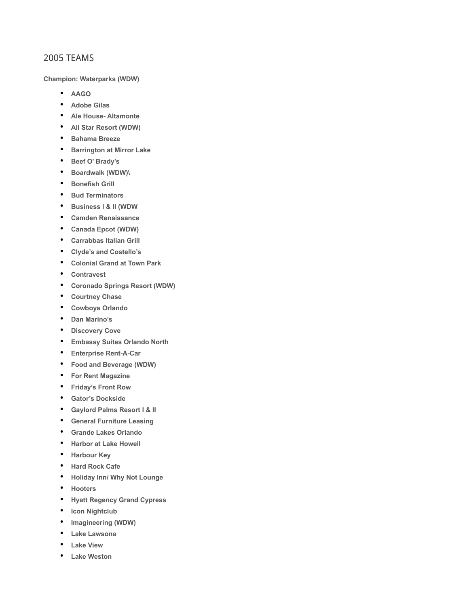## 2005 TEAMS

**Champion: Waterparks (WDW)**

- **AAGO**
- **Adobe Gilas**
- **Ale House- Altamonte**
- **All Star Resort (WDW)**
- **Bahama Breeze**
- **Barrington at Mirror Lake**
- **Beef O' Brady's**
- **Boardwalk (WDW)\**
- **Bonefish Grill**
- **Bud Terminators**
- **Business I & II (WDW**
- **Camden Renaissance**
- **Canada Epcot (WDW)**
- **Carrabbas Italian Grill**
- **Clyde's and Costello's**
- **Colonial Grand at Town Park**
- **Contravest**
- **Coronado Springs Resort (WDW)**
- **Courtney Chase**
- **Cowboys Orlando**
- **Dan Marino's**
- **Discovery Cove**
- **Embassy Suites Orlando North**
- **Enterprise Rent-A-Car**
- **Food and Beverage (WDW)**
- **For Rent Magazine**
- **Friday's Front Row**
- **Gator's Dockside**
- **Gaylord Palms Resort I & II**
- **General Furniture Leasing**
- **Grande Lakes Orlando**
- **Harbor at Lake Howell**
- **Harbour Key**
- **Hard Rock Cafe**
- **Holiday Inn/ Why Not Lounge**
- **Hooters**
- **Hyatt Regency Grand Cypress**
- **Icon Nightclub**
- **Imagineering (WDW)**
- **Lake Lawsona**
- **Lake View**
- **Lake Weston**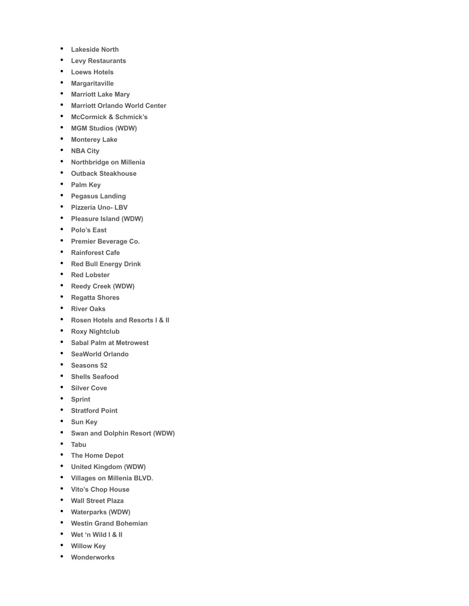- **Lakeside North**
- **Levy Restaurants**
- **Loews Hotels**
- **Margaritaville**
- **Marriott Lake Mary**
- **Marriott Orlando World Center**
- **McCormick & Schmick's**
- **MGM Studios (WDW)**
- **Monterey Lake**
- **NBA City**
- **Northbridge on Millenia**
- **Outback Steakhouse**
- **Palm Key**
- **Pegasus Landing**
- **Pizzeria Uno- LBV**
- **Pleasure Island (WDW)**
- **Polo's East**
- **Premier Beverage Co.**
- **Rainforest Cafe**
- **Red Bull Energy Drink**
- **Red Lobster**
- **Reedy Creek (WDW)**
- **Regatta Shores**
- **River Oaks**
- **Rosen Hotels and Resorts I & II**
- **Roxy Nightclub**
- **Sabal Palm at Metrowest**
- **SeaWorld Orlando**
- **Seasons 52**
- **Shells Seafood**
- **Silver Cove**
- **Sprint**
- **Stratford Point**
- **Sun Key**
- **Swan and Dolphin Resort (WDW)**
- **Tabu**
- **The Home Depot**
- **United Kingdom (WDW)**
- **Villages on Millenia BLVD.**
- **Vito's Chop House**
- **Wall Street Plaza**
- **Waterparks (WDW)**
- **Westin Grand Bohemian**
- **Wet 'n Wild I & II**
- **Willow Key**
- **Wonderworks**